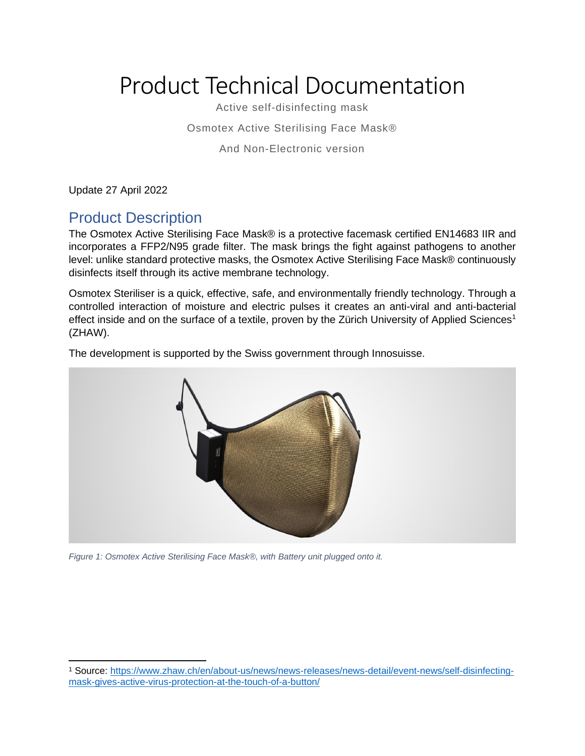# Product Technical Documentation

Active self-disinfecting mask

Osmotex Active Sterilising Face Mask®

And Non-Electronic version

Update 27 April 2022

## Product Description

The Osmotex Active Sterilising Face Mask® is a protective facemask certified EN14683 IIR and incorporates a FFP2/N95 grade filter. The mask brings the fight against pathogens to another level: unlike standard protective masks, the Osmotex Active Sterilising Face Mask® continuously disinfects itself through its active membrane technology.

Osmotex Steriliser is a quick, effective, safe, and environmentally friendly technology. Through a controlled interaction of moisture and electric pulses it creates an anti-viral and anti-bacterial effect inside and on the surface of a textile, proven by the Zürich University of Applied Sciences<sup>1</sup> (ZHAW).

The development is supported by the Swiss government through Innosuisse.



*Figure 1: Osmotex Active Sterilising Face Mask®, with Battery unit plugged onto it.*

<sup>1</sup> Source: [https://www.zhaw.ch/en/about-us/news/news-releases/news-detail/event-news/self-disinfecting](https://www.zhaw.ch/en/about-us/news/news-releases/news-detail/event-news/self-disinfecting-mask-gives-active-virus-protection-at-the-touch-of-a-button/)[mask-gives-active-virus-protection-at-the-touch-of-a-button/](https://www.zhaw.ch/en/about-us/news/news-releases/news-detail/event-news/self-disinfecting-mask-gives-active-virus-protection-at-the-touch-of-a-button/)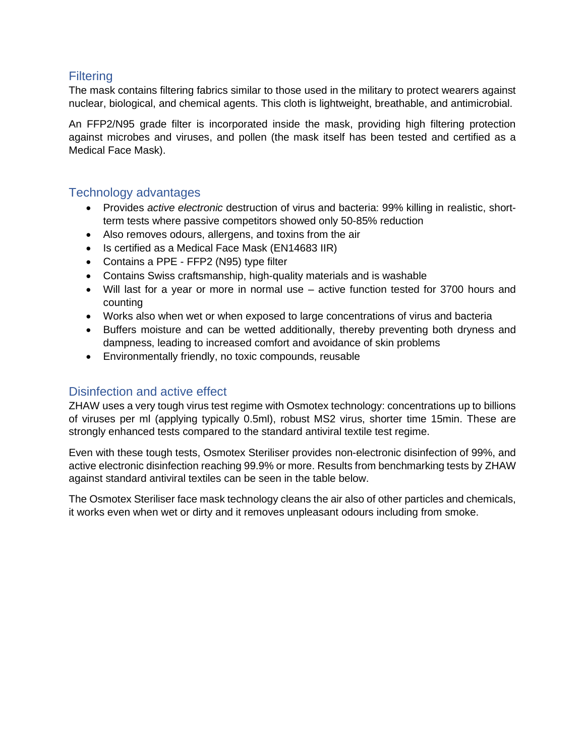#### **Filtering**

The mask contains filtering fabrics similar to those used in the military to protect wearers against nuclear, biological, and chemical agents. This cloth is lightweight, breathable, and antimicrobial.

An FFP2/N95 grade filter is incorporated inside the mask, providing high filtering protection against microbes and viruses, and pollen (the mask itself has been tested and certified as a Medical Face Mask).

#### Technology advantages

- Provides *active electronic* destruction of virus and bacteria: 99% killing in realistic, shortterm tests where passive competitors showed only 50-85% reduction
- Also removes odours, allergens, and toxins from the air
- Is certified as a Medical Face Mask (EN14683 IIR)
- Contains a PPE FFP2 (N95) type filter
- Contains Swiss craftsmanship, high-quality materials and is washable
- Will last for a year or more in normal use active function tested for 3700 hours and counting
- Works also when wet or when exposed to large concentrations of virus and bacteria
- Buffers moisture and can be wetted additionally, thereby preventing both dryness and dampness, leading to increased comfort and avoidance of skin problems
- Environmentally friendly, no toxic compounds, reusable

#### Disinfection and active effect

ZHAW uses a very tough virus test regime with Osmotex technology: concentrations up to billions of viruses per ml (applying typically 0.5ml), robust MS2 virus, shorter time 15min. These are strongly enhanced tests compared to the standard antiviral textile test regime.

Even with these tough tests, Osmotex Steriliser provides non-electronic disinfection of 99%, and active electronic disinfection reaching 99.9% or more. Results from benchmarking tests by ZHAW against standard antiviral textiles can be seen in the table below.

The Osmotex Steriliser face mask technology cleans the air also of other particles and chemicals, it works even when wet or dirty and it removes unpleasant odours including from smoke.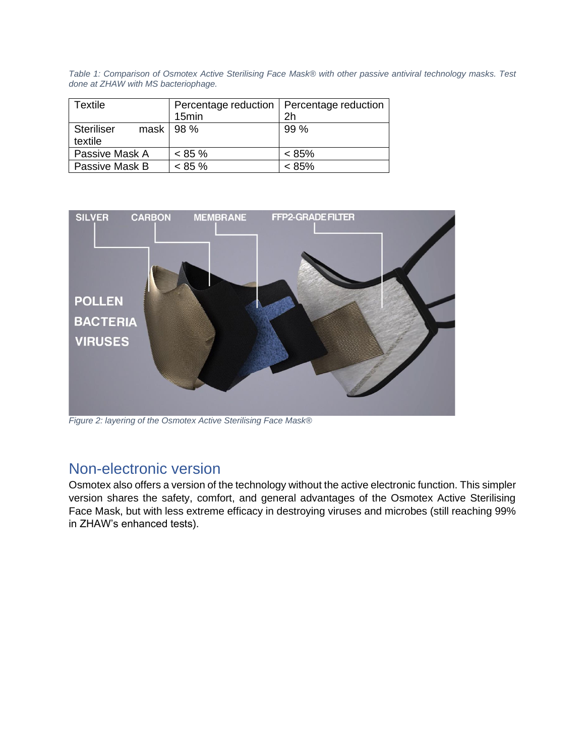*Table 1: Comparison of Osmotex Active Sterilising Face Mask® with other passive antiviral technology masks. Test done at ZHAW with MS bacteriophage.*

| <b>Textile</b>        | Percentage reduction   Percentage reduction |                |
|-----------------------|---------------------------------------------|----------------|
|                       | 15 <sub>min</sub>                           | 2 <sub>h</sub> |
| Steriliser<br>textile | mask   98 $%$                               | 99%            |
| Passive Mask A        | $< 85 \%$                                   | $< 85\%$       |
| Passive Mask B        | $< 85 \%$                                   | $< 85\%$       |



*Figure 2: layering of the Osmotex Active Sterilising Face Mask®*

### Non-electronic version

Osmotex also offers a version of the technology without the active electronic function. This simpler version shares the safety, comfort, and general advantages of the Osmotex Active Sterilising Face Mask, but with less extreme efficacy in destroying viruses and microbes (still reaching 99% in ZHAW's enhanced tests).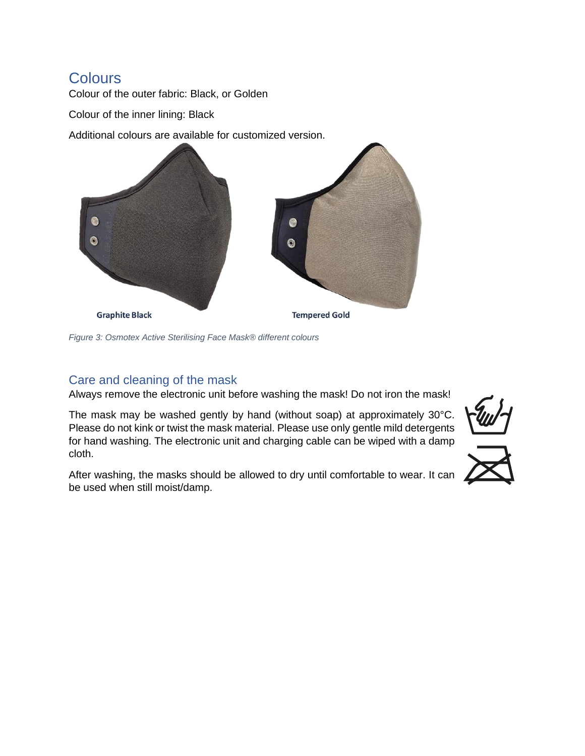## **Colours**

Colour of the outer fabric: Black, or Golden

Colour of the inner lining: Black

Additional colours are available for customized version.



*Figure 3: Osmotex Active Sterilising Face Mask® different colours*

#### <span id="page-3-0"></span>Care and cleaning of the mask

Always remove the electronic unit before washing the mask! Do not iron the mask!

The mask may be washed gently by hand (without soap) at approximately 30°C. Please do not kink or twist the mask material. Please use only gentle mild detergents for hand washing. The electronic unit and charging cable can be wiped with a damp cloth.

After washing, the masks should be allowed to dry until comfortable to wear. It can be used when still moist/damp.